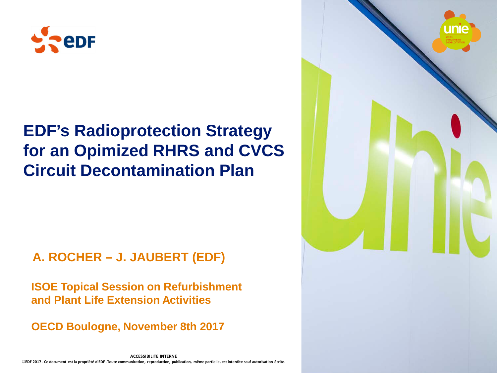

## **EDF's Radioprotection Strategy for an Opimized RHRS and CVCS Circuit Decontamination Plan**

#### **A. ROCHER – J. JAUBERT (EDF)**

**ISOE Topical Session on Refurbishment and Plant Life Extension Activities**

**OECD Boulogne, November 8th 2017** 

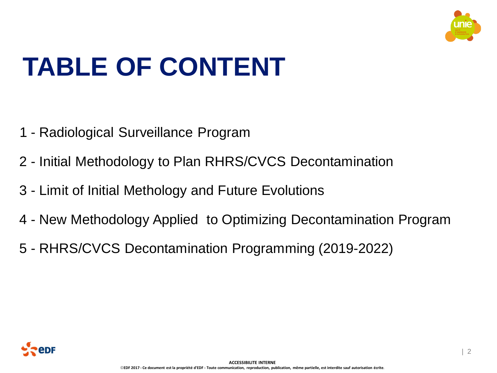

## **TABLE OF CONTENT**

- 1 Radiological Surveillance Program
- 2 Initial Methodology to Plan RHRS/CVCS Decontamination
- 3 Limit of Initial Methology and Future Evolutions
- 4 New Methodology Applied to Optimizing Decontamination Program
- 5 RHRS/CVCS Decontamination Programming (2019-2022)

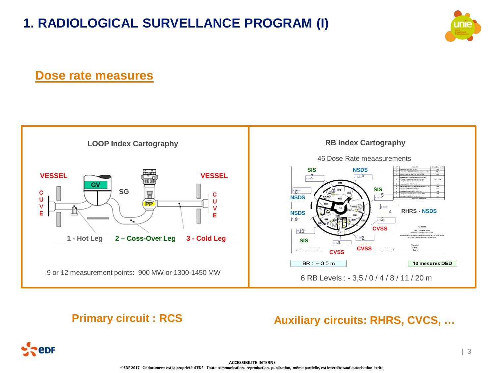**1. RADIOLOGICAL SURVELLANCE PROGRAM (I)**

#### **Dose rate measures**



**Primary circuit : RCS Auxiliary circuits: RHRS, CVCS, …** 



**ACCESSIBILITE INTERNE EDF 2017 - Ce document est la propriété d'EDF - Toute communication, reproduction, publication, même partielle, est interdite sauf autorisation écrite***.*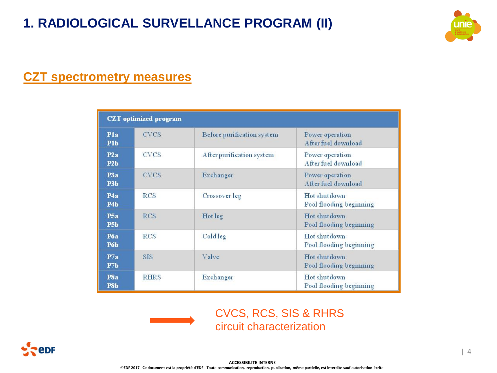#### **1. RADIOLOGICAL SURVELLANCE PROGRAM (II)**



#### **CZT spectrometry measures**

| <b>CZT</b> optimized program         |             |                            |                                          |  |  |  |  |  |
|--------------------------------------|-------------|----------------------------|------------------------------------------|--|--|--|--|--|
| P <sub>1</sub> a<br>P <sub>1</sub> b | <b>CVCS</b> | Before purification system | Power operation<br>After fuel download   |  |  |  |  |  |
| P2a<br>P2b                           | <b>CVCS</b> | After purification system  | Power operation<br>After fuel download   |  |  |  |  |  |
| P <sub>3</sub> a<br>P <sub>3</sub> b | <b>CVCS</b> | Exchanger                  | Power operation<br>After fuel download   |  |  |  |  |  |
| P <sub>4a</sub><br>P <sub>4</sub> b  | <b>RCS</b>  | Crossover leg              | Hot shutdown<br>Pool flooding beginning  |  |  |  |  |  |
| P <sub>5a</sub><br>P <sub>5</sub> b  | <b>RCS</b>  | Hotleg                     | Hot shut down<br>Pool flooding beginning |  |  |  |  |  |
| P <sub>6a</sub><br>P6b               | <b>RCS</b>  | Coldleg                    | Hot shutdown<br>Pool flooding beginning  |  |  |  |  |  |
| P7a<br>P7b                           | <b>SIS</b>  | Valve                      | Hot shutdown<br>Pool flooding beginning  |  |  |  |  |  |
| P <sub>8</sub> a<br>P <sub>8</sub> b | <b>RHRS</b> | Exchanger                  | Hot shutdown<br>Pool flooding beginning  |  |  |  |  |  |



#### CVCS, RCS, SIS & RHRS circuit characterization

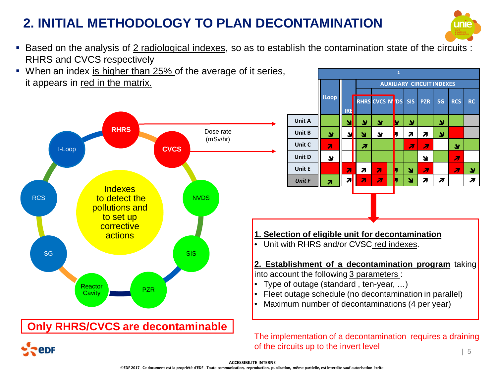## **2. INITIAL METHODOLOGY TO PLAN DECONTAMINATION**



**AUXILIARY CIRCUIT INDEXES**

Based on the analysis of 2 radiological indexes, so as to establish the contamination state of the circuits : RHRS and CVCS respectively



When an index is higher than 25% of the average of it series,

it appears in red in the matrix.

- **ILoop IRB RHRS CVCS NVDS SIS PZR SG RCS RC** <mark>V | ע | ע | ע | ע | ע | ע | ע |</mark> ע | ע <mark>| ע | ע | ע |</mark> **Unit B** | **y** <mark>ע | ק | ק | ע | <mark>ע |</mark> ע | ק</mark> **ע| <mark>ה|</mark> || ז| || || ||** 2 **Unit D** | **y** ד | צ | | | | | | | | | *ד* **Unit E** *Unit F* **1. Selection of eligible unit for decontamination** • Unit with RHRS and/or CVSC red indexes. **2. Establishment of a decontamination program** taking into account the following 3 parameters : • Type of outage (standard , ten-year, …)
	- Fleet outage schedule (no decontamination in parallel)
	- Maximum number of decontaminations (4 per year)

#### The implementation of a decontamination requires a draining of the circuits up to the invert level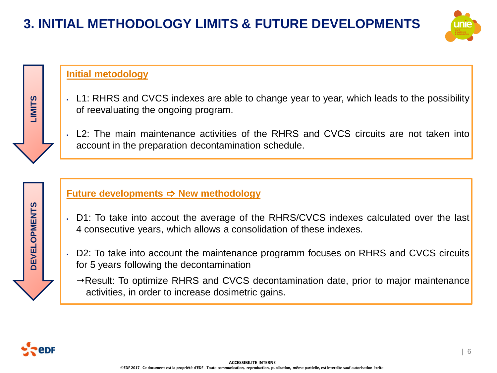### **3. INITIAL METHODOLOGY LIMITS & FUTURE DEVELOPMENTS**



#### **Initial metodology**

- L1: RHRS and CVCS indexes are able to change year to year, which leads to the possibility of reevaluating the ongoing program.
- L2: The main maintenance activities of the RHRS and CVCS circuits are not taken into account in the preparation decontamination schedule.

# **DEVELOPMENTS DEVELOPMENTS**

**LIMITS**

#### **Future developments New methodology**

- D1: To take into accout the average of the RHRS/CVCS indexes calculated over the last 4 consecutive years, which allows a consolidation of these indexes.
- D2: To take into account the maintenance programm focuses on RHRS and CVCS circuits for 5 years following the decontamination
	- $\rightarrow$ Result: To optimize RHRS and CVCS decontamination date, prior to major maintenance activities, in order to increase dosimetric gains.

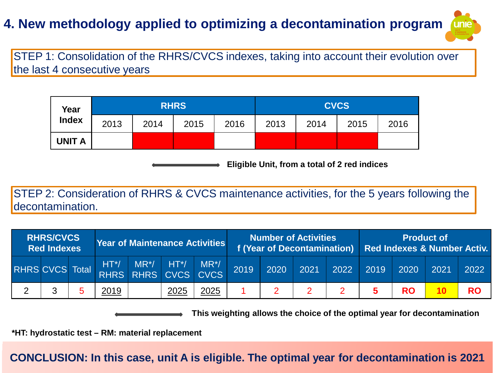#### **4. New methodology applied to optimizing a decontamination program**

STEP 1: Consolidation of the RHRS/CVCS indexes, taking into account their evolution over the last 4 consecutive years

| Year<br><b>Index</b> |      |      | <b>RHRS</b> |      | <b>CVCS</b> |      |      |      |  |
|----------------------|------|------|-------------|------|-------------|------|------|------|--|
|                      | 2013 | 2014 | 2015        | 2016 | 2013        | 2014 | 2015 | 2016 |  |
| <b>UNIT A</b>        |      |      |             |      |             |      |      |      |  |

**Eligible Unit, from a total of 2 red indices**

STEP 2: Consideration of RHRS & CVCS maintenance activities, for the 5 years following the decontamination.

| <b>RHRS/CVCS</b><br><b>Red Indexes</b> |   |  | <b>Year of Maintenance Activities</b> |  |                 | <b>Number of Activities</b> |      |      | <b>Product of</b><br>f (Year of Decontamination) Red Indexes & Number Activ. |      |      |           |      |           |
|----------------------------------------|---|--|---------------------------------------|--|-----------------|-----------------------------|------|------|------------------------------------------------------------------------------|------|------|-----------|------|-----------|
| <b>RHRS CVCS Total</b>                 |   |  | HT'/<br>RHRS RHRS CVCS CVCS           |  | $MR^*/$ $HT^*/$ | MR*/                        | 2019 | 2020 | 2021                                                                         | 2022 | 2019 | 2020      | 2021 | 2022      |
|                                        | 3 |  | 2019                                  |  | 2025            | 2025                        |      |      |                                                                              |      |      | <b>RO</b> |      | <b>RO</b> |

**This weighting allows the choice of the optimal year for decontamination**

**\*HT: hydrostatic test – RM: material replacement**

 $\sim$ **ACCESSIBILITE INTERNE CONCLUSION: In this case, unit A is eligible. The optimal year for decontamination is 2021**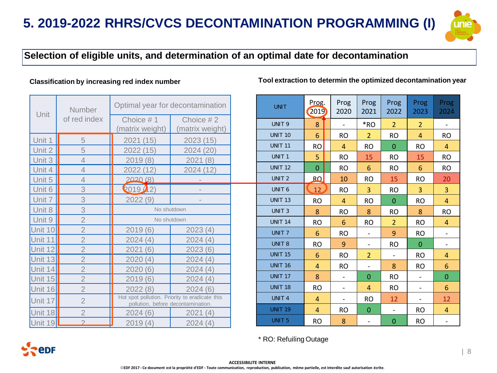

#### **Selection of eligible units, and determination of an optimal date for decontamination**

#### **Classification by increasing red index number**

| Unit        | Number         | Optimal year for decontamination                                                     |                              |  |  |  |  |
|-------------|----------------|--------------------------------------------------------------------------------------|------------------------------|--|--|--|--|
|             | of red index   | Choice #1<br>(matrix weight)                                                         | Choice #2<br>(matrix weight) |  |  |  |  |
| Unit 1      | 5              | 2021 (15)                                                                            | 2023 (15)                    |  |  |  |  |
| Unit 2      | 5              | 2022<br>(15)                                                                         | 2024<br>(20)                 |  |  |  |  |
| Unit 3      | $\overline{4}$ | 2019<br>(8)                                                                          | 2021<br>(8)                  |  |  |  |  |
| Unit 4      | $\overline{4}$ | 2022 (12)                                                                            | 2024 (12)                    |  |  |  |  |
| Unit 5      | $\overline{4}$ | 2020(8)                                                                              |                              |  |  |  |  |
| Unit 6      | 3              | 2019/2)                                                                              |                              |  |  |  |  |
| Unit 7      | 3              | 2022 (9)                                                                             |                              |  |  |  |  |
| Unit 8      | 3              | No shutdown                                                                          |                              |  |  |  |  |
| Unit 9      | $\overline{2}$ | No shutdown                                                                          |                              |  |  |  |  |
| Unit 10     | $\overline{2}$ | 2019(6)                                                                              | 2023 (4)                     |  |  |  |  |
| Unit 1      | $\overline{2}$ | 2024<br>4)                                                                           | 2024<br>(4)                  |  |  |  |  |
| Unit 12     | $\overline{2}$ | 2021<br>(6)                                                                          | 2023<br>(6)                  |  |  |  |  |
| Unit 13     | $\overline{2}$ | 2020<br>(4)                                                                          | 2024<br>(4)                  |  |  |  |  |
| Unit 14     | $\overline{2}$ | 2020<br>(6)                                                                          | 2024<br>4                    |  |  |  |  |
| Unit 15     | $\overline{2}$ | 2019<br>(6)                                                                          | 2024<br>(4)                  |  |  |  |  |
| Unit 16     | $\overline{2}$ | 2022 (8)                                                                             | 2024(6)                      |  |  |  |  |
| Unit 17     | $\overline{2}$ | Hot spot pollution. Priority to eradicate this<br>pollution, before decontamination. |                              |  |  |  |  |
| Unit 18     | $\overline{2}$ | 2024 (6)                                                                             | 2021<br>(4)                  |  |  |  |  |
| Unit 1<br>9 |                | 2019<br>(4)                                                                          | 2024<br>(4)                  |  |  |  |  |

#### **Tool extraction to determin the optimized decontamination year**

| <b>UNIT</b>       | Prog.<br>2019 | Prog<br>2020   | Prog<br>2021      | Prog<br>2022   | Prog<br>2023   | Prog<br>2024   |
|-------------------|---------------|----------------|-------------------|----------------|----------------|----------------|
| UNIT <sub>9</sub> | 8             |                | *RO               | $\overline{2}$ | $\overline{2}$ |                |
| <b>UNIT 10</b>    | 6             | <b>RO</b>      | $\overline{2}$    | <b>RO</b>      | 4              | <b>RO</b>      |
| <b>UNIT 11</b>    | <b>RO</b>     | 4              | <b>RO</b>         | 0              | <b>RO</b>      | 4              |
| UNIT <sub>1</sub> | 5             | <b>RO</b>      | 15                | <b>RO</b>      | 15             | <b>RO</b>      |
| <b>UNIT 12</b>    | 0             | <b>RO</b>      | 6                 | <b>RO</b>      | 6              | <b>RO</b>      |
| UNIT <sub>2</sub> | RΟ            | 10             | <b>RO</b>         | 15             | <b>RO</b>      | 20             |
| UNIT <sub>6</sub> | 12            | <b>RO</b>      | 3                 | <b>RO</b>      | 3              | 3              |
| <b>UNIT 13</b>    | <b>RO</b>     | $\overline{4}$ | <b>RO</b>         | 0              | <b>RO</b>      | $\overline{a}$ |
| UNIT <sub>3</sub> | 8             | <b>RO</b>      | 8                 | <b>RO</b>      | 8              | <b>RO</b>      |
| <b>UNIT 14</b>    | <b>RO</b>     | 6              | <b>RO</b>         | $\overline{2}$ | <b>RO</b>      | 4              |
| UNIT <sub>7</sub> | 6             | <b>RO</b>      |                   | 9              | <b>RO</b>      |                |
| UNIT <sub>8</sub> | <b>RO</b>     | 9              | $\qquad \qquad -$ | <b>RO</b>      | $\overline{0}$ | -              |
| <b>UNIT 15</b>    | 6             | <b>RO</b>      | $\overline{2}$    |                | <b>RO</b>      | 4              |
| <b>UNIT 16</b>    | 4             | <b>RO</b>      |                   | 8              | <b>RO</b>      | 6              |
| <b>UNIT 17</b>    | 8             |                | 0                 | <b>RO</b>      |                | 0              |
| <b>UNIT 18</b>    | <b>RO</b>     |                | $\overline{4}$    | <b>RO</b>      |                | 6              |
| <b>UNIT 4</b>     | 4             |                | <b>RO</b>         | 12             |                | 12             |
| <b>UNIT 19</b>    | 4             | <b>RO</b>      | 0                 |                | <b>RO</b>      | 4              |
| <b>UNIT 5</b>     | <b>RO</b>     | 8              |                   | 0              | <b>RO</b>      |                |

\* RO: Refuiling Outage

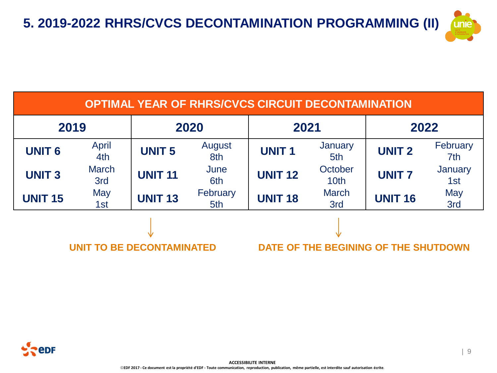**5. 2019-2022 RHRS/CVCS DECONTAMINATION PROGRAMMING (II)**unie

| <b>OPTIMAL YEAR OF RHRS/CVCS CIRCUIT DECONTAMINATION</b> |                     |                |                 |                |                     |                |                             |  |  |  |
|----------------------------------------------------------|---------------------|----------------|-----------------|----------------|---------------------|----------------|-----------------------------|--|--|--|
| 2019                                                     |                     |                | 2020            | 2021           |                     | 2022           |                             |  |  |  |
| <b>UNIT 6</b>                                            | April<br>4th        | <b>UNIT 5</b>  | August<br>8th   | <b>UNIT1</b>   | January<br>5th      | <b>UNIT 2</b>  | February<br>7 <sup>th</sup> |  |  |  |
| <b>UNIT3</b>                                             | <b>March</b><br>3rd | <b>UNIT 11</b> | June<br>6th     | <b>UNIT 12</b> | October<br>10th     | <b>UNIT7</b>   | January<br>1st              |  |  |  |
| <b>UNIT 15</b>                                           | May<br>1st          | <b>UNIT 13</b> | February<br>5th | <b>UNIT 18</b> | <b>March</b><br>3rd | <b>UNIT 16</b> | May<br>3rd                  |  |  |  |
|                                                          |                     |                |                 |                |                     |                |                             |  |  |  |

#### **UNIT TO BE DECONTAMINATED DATE OF THE BEGINING OF THE SHUTDOWN**

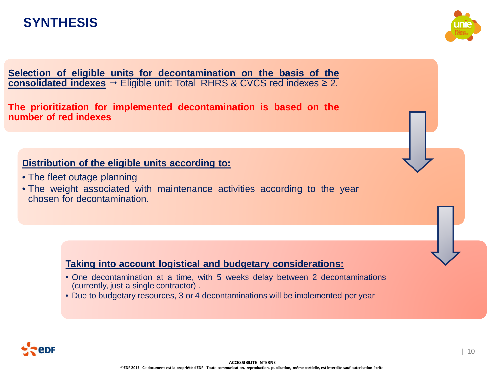#### **SYNTHESIS**



**Selection of eligible units for decontamination on the basis of the consolidated indexes** Eligible unit: Total RHRS & CVCS red indexes ≥ 2.

**The prioritization for implemented decontamination is based on the number of red indexes**

#### **Distribution of the eligible units according to:**

- The fleet outage planning
- The weight associated with maintenance activities according to the year chosen for decontamination.

#### **Taking into account logistical and budgetary considerations:**

- One decontamination at a time, with 5 weeks delay between 2 decontaminations (currently, just a single contractor) .
- Due to budgetary resources, 3 or 4 decontaminations will be implemented per year

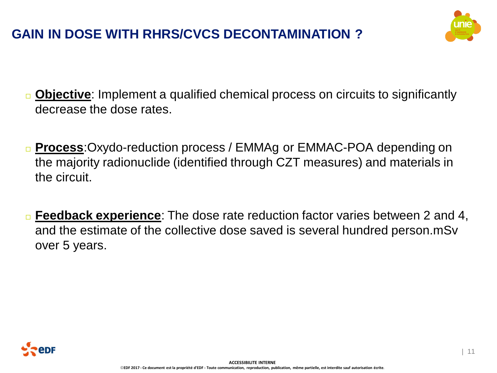#### **GAIN IN DOSE WITH RHRS/CVCS DECONTAMINATION ?**



- **Objective**: Implement a qualified chemical process on circuits to significantly decrease the dose rates.
- **Process**:Oxydo-reduction process / EMMAg or EMMAC-POA depending on the majority radionuclide (identified through CZT measures) and materials in the circuit.
- **Feedback experience**: The dose rate reduction factor varies between 2 and 4, and the estimate of the collective dose saved is several hundred person.mSv over 5 years.

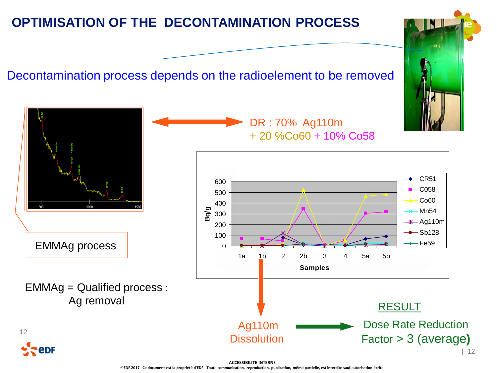#### **OPTIMISATION OF THE DECONTAMINATION PROCESS**

Decontamination process depends on the radioelement to be removed



**ACCESSIBILITE INTERNE**

**EDF 2017 - Ce document est la propriété d'EDF - Toute communication, reproduction, publication, même partielle, est interdite sauf autorisation écrite***.*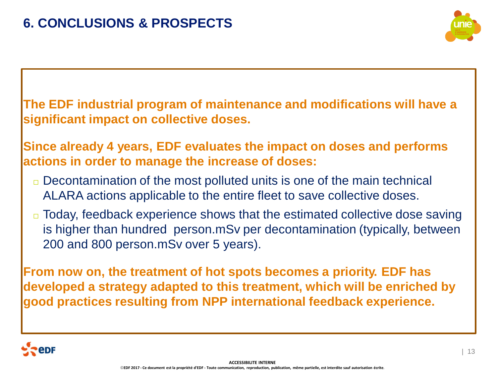

**The EDF industrial program of maintenance and modifications will have a significant impact on collective doses.**

**Since already 4 years, EDF evaluates the impact on doses and performs actions in order to manage the increase of doses:**

- Decontamination of the most polluted units is one of the main technical ALARA actions applicable to the entire fleet to save collective doses.
- □ Today, feedback experience shows that the estimated collective dose saving is higher than hundred person.mSv per decontamination (typically, between 200 and 800 person.mSv over 5 years).

**From now on, the treatment of hot spots becomes a priority. EDF has developed a strategy adapted to this treatment, which will be enriched by good practices resulting from NPP international feedback experience.**

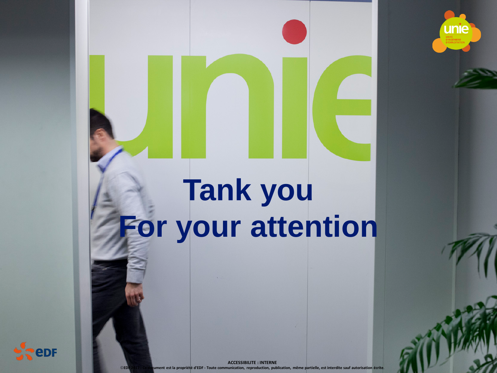

# **Tank you For your attention**



**ACCESSIBILITE : INTERNE EDF 2017 - Ce document est la propriété d'EDF - Toute communication, reproduction, publication, même partielle, est interdite sauf autorisation écrite***.*